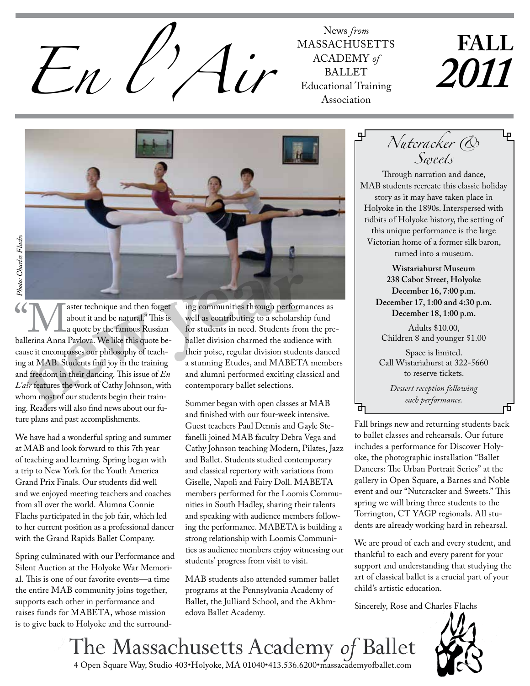

**MASSACHUSETTS** ACADEMY of **BALLET** Educational Training Association

# **FALL** *2011*



**newy<sup>e</sup>a<sup>r</sup>** Solutive and then forget about it and be natural." This is a quote by the famous Russian ballerina Anna Pavlova. We like this quote beabout it and be natural." This is a quote by the famous Russian cause it encompasses our philosophy of teaching at MAB. Students find joy in the training and freedom in their dancing. This issue of *En L'air* features the work of Cathy Johnson, with whom most of our students begin their training. Readers will also find news about our future plans and past accomplishments.

We have had a wonderful spring and summer at MAB and look forward to this 7th year of teaching and learning. Spring began with a trip to New York for the Youth America Grand Prix Finals. Our students did well and we enjoyed meeting teachers and coaches from all over the world. Alumna Connie Flachs participated in the job fair, which led to her current position as a professional dancer with the Grand Rapids Ballet Company.

Spring culminated with our Performance and Silent Auction at the Holyoke War Memorial. This is one of our favorite events—a time the entire MAB community joins together, supports each other in performance and raises funds for MABETA, whose mission is to give back to Holyoke and the surrounding communities through performances as well as contributing to a scholarship fund for students in need. Students from the preballet division charmed the audience with their poise, regular division students danced a stunning Etudes, and MABETA members and alumni performed exciting classical and contemporary ballet selections.

Summer began with open classes at MAB and finished with our four-week intensive. Guest teachers Paul Dennis and Gayle Stefanelli joined MAB faculty Debra Vega and Cathy Johnson teaching Modern, Pilates, Jazz and Ballet. Students studied contemporary and classical repertory with variations from Giselle, Napoli and Fairy Doll. MABETA members performed for the Loomis Communities in South Hadley, sharing their talents and speaking with audience members following the performance. MABETA is building a strong relationship with Loomis Communities as audience members enjoy witnessing our students' progress from visit to visit.

MAB students also attended summer ballet programs at the Pennsylvania Academy of Ballet, the Julliard School, and the Akhmedova Ballet Academy.

Through narration and dance, MAB students recreate this classic holiday story as it may have taken place in Holyoke in the 1890s. Interspersed with tidbits of Holyoke history, the setting of this unique performance is the large Victorian home of a former silk baron, turned into a museum. *Nutcracker & Sweets*

> **Wistariahurst Museum 238 Cabot Street, Holyoke December 16, 7:00 p.m. December 17, 1:00 and 4:30 p.m. December 18, 1:00 p.m.**

Adults \$10.00, Children 8 and younger \$1.00

Space is limited. Call Wistariahurst at 322-5660 to reserve tickets.

> *Dessert reception following each performance.*

ᇚ

Fall brings new and returning students back to ballet classes and rehearsals. Our future includes a performance for Discover Holyoke, the photographic installation "Ballet Dancers: The Urban Portrait Series" at the gallery in Open Square, a Barnes and Noble event and our "Nutcracker and Sweets." This spring we will bring three students to the Torrington, CT YAGP regionals. All students are already working hard in rehearsal.

We are proud of each and every student, and thankful to each and every parent for your support and understanding that studying the art of classical ballet is a crucial part of your child's artistic education.

Sincerely, Rose and Charles Flachs



The Massachusetts Academy of Ballet 4 Open Square Way, Studio 403•Holyoke, MA 01040•413.536.6200•massacademyofballet.com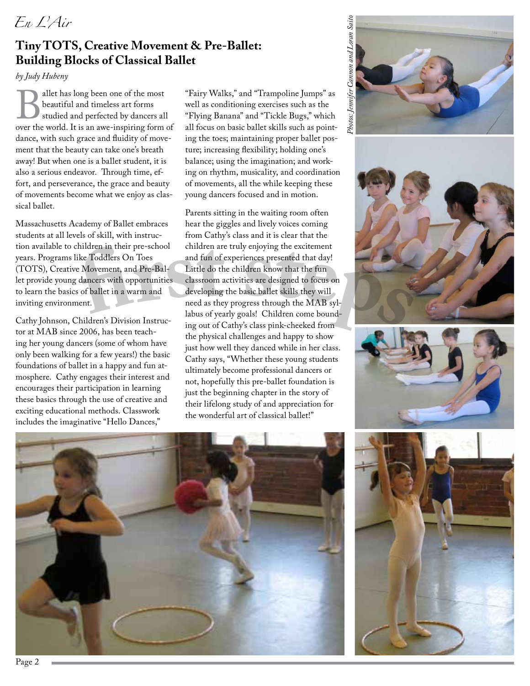## *En L'Air*

#### **Tiny TOTS, Creative Movement & Pre-Ballet: Building Blocks of Classical Ballet**

*by Judy Hubeny*

Ballet has long been one of the most<br>beautiful and timeless art forms<br>studied and perfected by dancers all<br>over the world. It is an awe-inspiring form of beautiful and timeless art forms studied and perfected by dancers all dance, with such grace and fluidity of movement that the beauty can take one's breath away! But when one is a ballet student, it is also a serious endeavor. Through time, effort, and perseverance, the grace and beauty of movements become what we enjoy as classical ballet.

Massachusetts Academy of Ballet embraces students at all levels of skill, with instruction available to children in their pre-school years. Programs like Toddlers On Toes (TOTS), Creative Movement, and Pre-Ballet provide young dancers with opportunities to learn the basics of ballet in a warm and inviting environment.

Cathy Johnson, Children's Division Instructor at MAB since 2006, has been teaching her young dancers (some of whom have only been walking for a few years!) the basic foundations of ballet in a happy and fun atmosphere. Cathy engages their interest and encourages their participation in learning these basics through the use of creative and exciting educational methods. Classwork includes the imaginative "Hello Dances,"

"Fairy Walks," and "Trampoline Jumps" as well as conditioning exercises such as the "Flying Banana" and "Tickle Bugs," which all focus on basic ballet skills such as pointing the toes; maintaining proper ballet posture; increasing flexibility; holding one's balance; using the imagination; and working on rhythm, musicality, and coordination of movements, all the while keeping these young dancers focused and in motion.

children in their pre-school children are truly enjoying the excitement<br>like Toddlers On Toes and fun of experiences presented that day!<br>
re Movement, and Pre-Bal-<br>
classroom activities are designed to focus on<br>
s of balle Parents sitting in the waiting room often hear the giggles and lively voices coming from Cathy's class and it is clear that the children are truly enjoying the excitement and fun of experiences presented that day! Little do the children know that the fun classroom activities are designed to focus on developing the basic ballet skills they will need as they progress through the MAB syllabus of yearly goals! Children come bounding out of Cathy's class pink-cheeked from the physical challenges and happy to show just how well they danced while in her class. Cathy says, "Whether these young students ultimately become professional dancers or not, hopefully this pre-ballet foundation is just the beginning chapter in the story of their lifelong study of and appreciation for the wonderful art of classical ballet!"



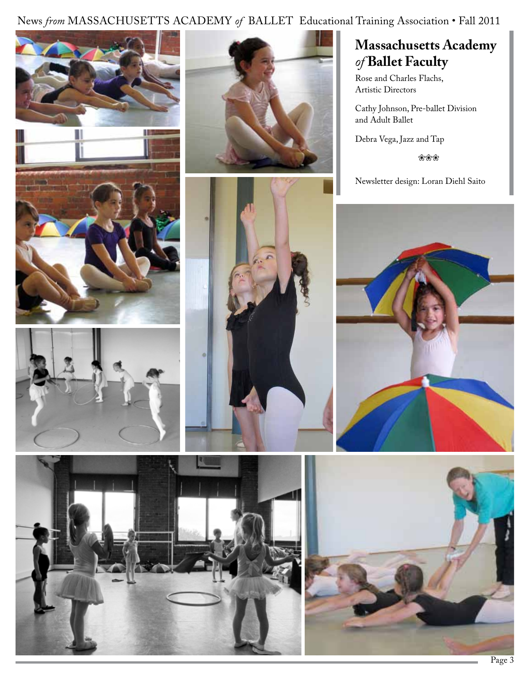#### News *from* MASSACHUSETTS ACADEMY of BALLET Educational Training Association • Fall 2011









#### **Massachusetts Academy**  *of* **Ballet Faculty**

Rose and Charles Flachs, Artistic Directors

Cathy Johnson, Pre-ballet Division and Adult Ballet

Debra Vega, Jazz and Tap

❀❀❀

Newsletter design: Loran Diehl Saito





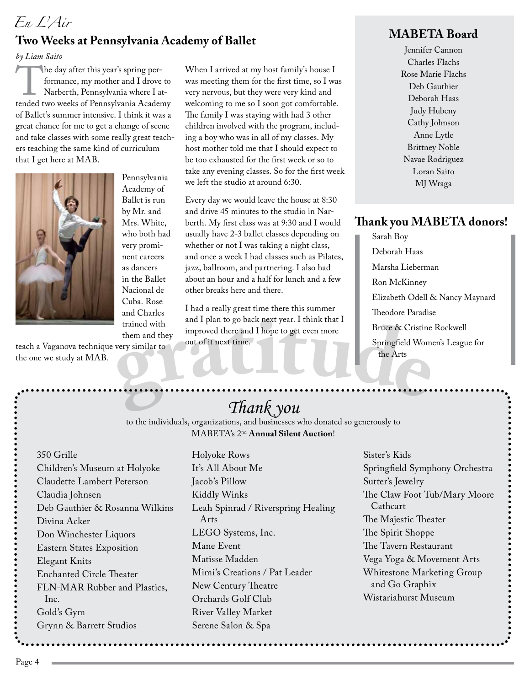#### *En L'Air* **Two Weeks at Pennsylvania Academy of Ballet**

*by Liam Saito*

The day after this year's spring per-<br>formance, my mother and I drove to<br>Narberth, Pennsylvania where I at-<br>tended two weeks of Pennsylvania Academy formance, my mother and I drove to Narberth, Pennsylvania where I atof Ballet's summer intensive. I think it was a great chance for me to get a change of scene and take classes with some really great teachers teaching the same kind of curriculum that I get here at MAB.



Pennsylvania Academy of Ballet is run by Mr. and Mrs. White, who both had very prominent careers as dancers in the Ballet Nacional de Cuba. Rose and Charles trained with them and they

teach a Vaganova technique very similar to the one we study at MAB.

When I arrived at my host family's house I was meeting them for the first time, so I was very nervous, but they were very kind and welcoming to me so I soon got comfortable. The family I was staying with had 3 other children involved with the program, including a boy who was in all of my classes. My host mother told me that I should expect to be too exhausted for the first week or so to take any evening classes. So for the first week we left the studio at around 6:30.

Every day we would leave the house at 8:30 and drive 45 minutes to the studio in Narberth. My first class was at 9:30 and I would usually have 2-3 ballet classes depending on whether or not I was taking a night class, and once a week I had classes such as Pilates, jazz, ballroom, and partnering. I also had about an hour and a half for lunch and a few other breaks here and there.

trained with<br>them and they<br>improved there and I hope to get even more<br>out of it next time.<br>Springfield Wome<br>the Arts<br> $\frac{1}{2}$ <br> $\frac{1}{2}$ <br> $\frac{1}{2}$ <br> $\frac{1}{2}$ <br> $\frac{1}{2}$ <br> $\frac{1}{2}$ <br> $\frac{1}{2}$ <br> $\frac{1}{2}$ <br> $\frac{1}{2}$ <br> $\frac{1}{2}$ <br> $\frac{1$ I had a really great time there this summer and I plan to go back next year. I think that I improved there and I hope to get even more out of it next time.

#### **MABETA Board**

Jennifer Cannon Charles Flachs Rose Marie Flachs Deb Gauthier Deborah Haas Judy Hubeny Cathy Johnson Anne Lytle Brittney Noble Navae Rodriguez Loran Saito MJ Wraga

#### **Thank you MABETA donors!**

Sarah Boy Deborah Haas Marsha Lieberman Ron McKinney Elizabeth Odell & Nancy Maynard Theodore Paradise Bruce & Cristine Rockwell Springfield Women's League for the Arts

## *Thank you*

to the individuals, organizations, and businesses who donated so generously to MABETA's 2nd **Annual Silent Auction**!

350 Grille Children's Museum at Holyoke Claudette Lambert Peterson Claudia Johnsen Deb Gauthier & Rosanna Wilkins Divina Acker Don Winchester Liquors Eastern States Exposition Elegant Knits Enchanted Circle Theater FLN-MAR Rubber and Plastics, Inc. Gold's Gym Grynn & Barrett Studios

Holyoke Rows It's All About Me Jacob's Pillow Kiddly Winks Leah Spinrad / Riverspring Healing Arts LEGO Systems, Inc. Mane Event Matisse Madden Mimi's Creations / Pat Leader New Century Theatre Orchards Golf Club River Valley Market Serene Salon & Spa

. . . . . . . . . . . . . . . .

Sister's Kids Springfield Symphony Orchestra Sutter's Jewelry The Claw Foot Tub/Mary Moore Cathcart The Majestic Theater The Spirit Shoppe The Tavern Restaurant Vega Yoga & Movement Arts Whitestone Marketing Group and Go Graphix Wistariahurst Museum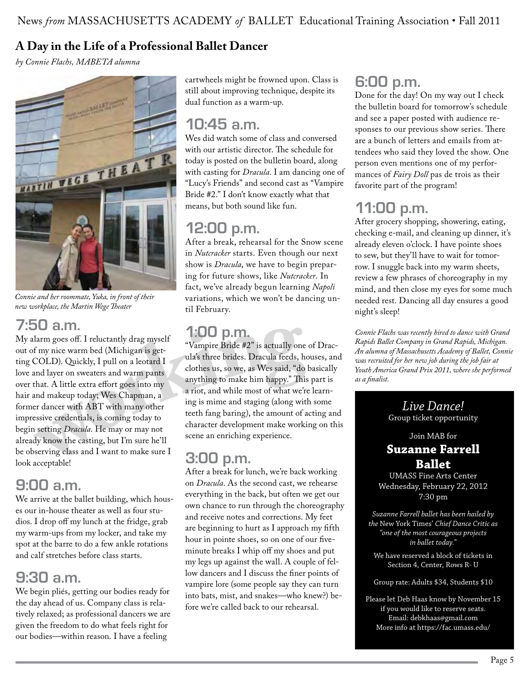#### **A Day in the Life of a Professional Ballet Dancer**

*by Connie Flachs, MABETA alumna*



*Connie and her roommate, Yuka, in front of their new workplace, the Martin Wege Theater*

## **7:50 a.m.**

**wo<sup>r</sup>kin<sup>g</sup>** My alarm goes off. I reluctantly drag myself out of my nice warm bed (Michigan is getting COLD). Quickly, I pull on a leotard I love and layer on sweaters and warm pants over that. A little extra effort goes into my hair and makeup today; Wes Chapman, a former dancer with ABT with many other impressive credentials, is coming today to begin setting *Dracula*. He may or may not already know the casting, but I'm sure he'll be observing class and I want to make sure I look acceptable!

## **9:00 a.m.**

We arrive at the ballet building, which houses our in-house theater as well as four studios. I drop off my lunch at the fridge, grab my warm-ups from my locker, and take my spot at the barre to do a few ankle rotations and calf stretches before class starts.

## **9:30 a.m.**

We begin pliés, getting our bodies ready for the day ahead of us. Company class is relatively relaxed; as professional dancers we are given the freedom to do what feels right for our bodies—within reason. I have a feeling

cartwheels might be frowned upon. Class is still about improving technique, despite its dual function as a warm-up.

## **10:45 a.m.**

Wes did watch some of class and conversed with our artistic director. The schedule for today is posted on the bulletin board, along with casting for *Dracula*. I am dancing one of "Lucy's Friends" and second cast as "Vampire Bride #2." I don't know exactly what that means, but both sound like fun.

## **12:00 p.m.**

After a break, rehearsal for the Snow scene in *Nutcracker* starts. Even though our next show is *Dracula*, we have to begin preparing for future shows, like *Nutcracker*. In fact, we've already begun learning *Napoli* variations, which we won't be dancing until February.

## **1:00 p.m.**

"Vampire Bride #2" is actually one of Dracula's three brides. Dracula feeds, houses, and clothes us, so we, as Wes said, "do basically anything to make him happy." This part is a riot, and while most of what we're learning is mime and staging (along with some teeth fang baring), the amount of acting and character development make working on this scene an enriching experience.

## **3:00 p.m.**

After a break for lunch, we're back working on *Dracula*. As the second cast, we rehearse everything in the back, but often we get our own chance to run through the choreography and receive notes and corrections. My feet are beginning to hurt as I approach my fifth hour in pointe shoes, so on one of our fiveminute breaks I whip off my shoes and put my legs up against the wall. A couple of fellow dancers and I discuss the finer points of vampire lore (some people say they can turn into bats, mist, and snakes—who knew?) before we're called back to our rehearsal.

## **6:00 p.m.**

Done for the day! On my way out I check the bulletin board for tomorrow's schedule and see a paper posted with audience responses to our previous show series. There are a bunch of letters and emails from attendees who said they loved the show. One person even mentions one of my performances of *Fairy Doll* pas de trois as their favorite part of the program!

## **11:00 p.m.**

After grocery shopping, showering, eating, checking e-mail, and cleaning up dinner, it's already eleven o'clock. I have pointe shoes to sew, but they'll have to wait for tomorrow. I snuggle back into my warm sheets, review a few phrases of choreography in my mind, and then close my eyes for some much needed rest. Dancing all day ensures a good night's sleep!

*Connie Flachs was recently hired to dance with Grand Rapids Ballet Company in Grand Rapids, Michigan. An alumna of Massachusetts Academy of Ballet, Connie was recruited for her new job during the job fair at Youth America Grand Prix 2011, where she performed as a finalist.*

#### *Live Dance!* Group ticket opportunity

#### Join MAB for **Suzanne Farrell Ballet**

UMASS Fine Arts Center Wednesday, February 22, 2012 7:30 pm

*Suzanne Farrell ballet has been hailed by the* New York Times' *Chief Dance Critic as "one of the most courageous projects in ballet today."*

We have reserved a block of tickets in Section 4, Center, Rows R- U

Group rate: Adults \$34, Students \$10

Please let Deb Haas know by November 15 if you would like to reserve seats. Email: debkhaas@gmail.com More info at https://fac.umass.edu/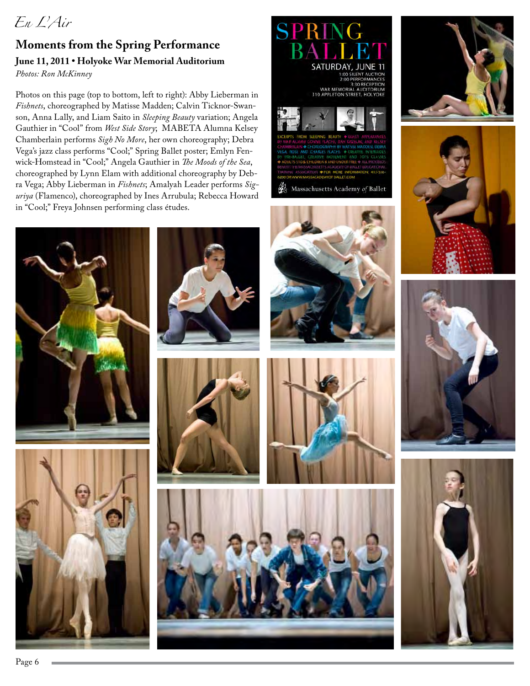## *En L'Air*

#### **Moments from the Spring Performance June 11, 2011 • Holyoke War Memorial Auditorium** *Photos: Ron McKinney*

Photos on this page (top to bottom, left to right): Abby Lieberman in *Fishnets*, choreographed by Matisse Madden; Calvin Ticknor-Swanson, Anna Lally, and Liam Saito in *Sleeping Beauty* variation; Angela Gauthier in "Cool" from *West Side Story*; MABETA Alumna Kelsey Chamberlain performs *Sigh No More*, her own choreography; Debra Vega's jazz class performs "Cool;" Spring Ballet poster; Emlyn Fenwick-Homstead in "Cool;" Angela Gauthier in *The Moods of the Sea*, choreographed by Lynn Elam with additional choreography by Debra Vega; Abby Lieberman in *Fishnets*; Amalyah Leader performs *Siguriya* (Flamenco), choreographed by Ines Arrubula; Rebecca Howard in "Cool;" Freya Johnsen performing class études.





Massachusetts Academy of Ballet



















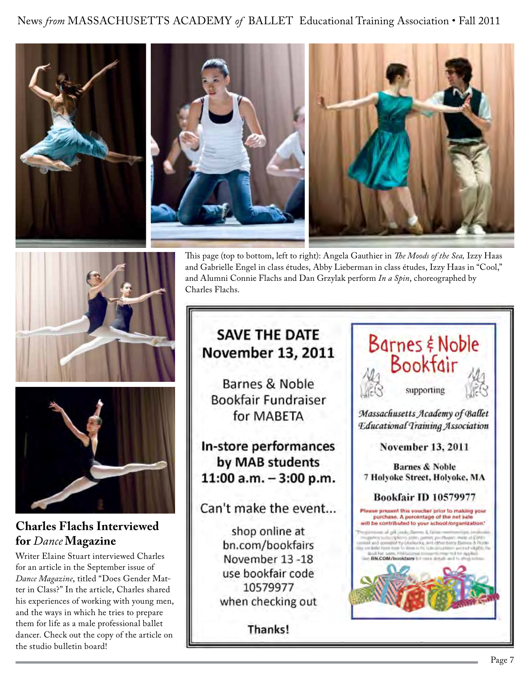News *from* MASSACHUSETTS ACADEMY of BALLET Educational Training Association • Fall 2011









#### **Charles Flachs Interviewed for** *Dance* **Magazine**

Writer Elaine Stuart interviewed Charles for an article in the September issue of *Dance Magazine*, titled "Does Gender Matter in Class?" In the article, Charles shared his experiences of working with young men, and the ways in which he tries to prepare them for life as a male professional ballet dancer. Check out the copy of the article on the studio bulletin board!

This page (top to bottom, left to right): Angela Gauthier in *The Moods of the Sea,* Izzy Haas and Gabrielle Engel in class études, Abby Lieberman in class études, Izzy Haas in "Cool," and Alumni Connie Flachs and Dan Grzylak perform *In a Spin*, choreographed by Charles Flachs.

## **SAVE THE DATE** November 13, 2011

Barnes & Noble **Bookfair Fundraiser** for MABETA

In-store performances by MAB students 11:00 a.m.  $-3:00$  p.m.

Can't make the event...

shop online at bn.com/bookfairs November 13-18 use bookfair code 10579977 when checking out

Thanks!